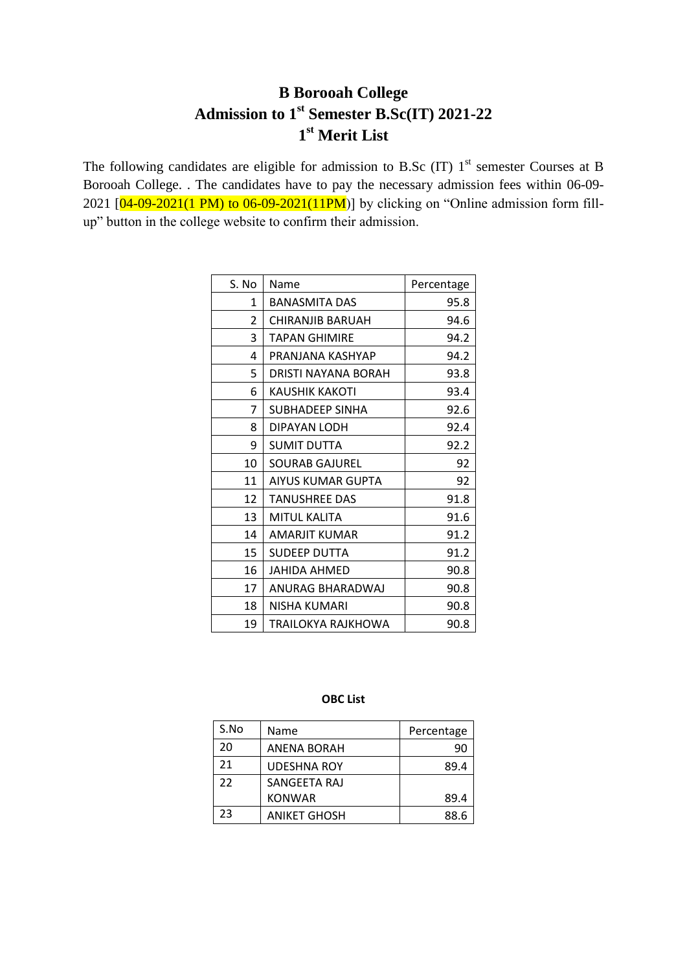## **B Borooah College Admission to 1st Semester B.Sc(IT) 2021-22 st Merit List**

The following candidates are eligible for admission to B.Sc (IT)  $1<sup>st</sup>$  semester Courses at B Borooah College. . The candidates have to pay the necessary admission fees within 06-09- 2021  $[04-09-2021(1 \text{ PM})$  to  $06-09-2021(11 \text{ PM})]$  by clicking on "Online admission form fillup" button in the college website to confirm their admission.

| S. No | Name                  | Percentage |
|-------|-----------------------|------------|
| 1     | <b>BANASMITA DAS</b>  | 95.8       |
| 2     | CHIRANJIB BARUAH      | 94.6       |
| 3     | <b>TAPAN GHIMIRE</b>  | 94.2       |
| 4     | PRANJANA KASHYAP      | 94.2       |
| 5     | DRISTI NAYANA BORAH   | 93.8       |
| 6     | KAUSHIK KAKOTI        | 93.4       |
| 7     | SUBHADEEP SINHA       | 92.6       |
| 8     | DIPAYAN LODH          | 92.4       |
| 9     | SUMIT DUTTA           | 92.2       |
| 10    | <b>SOURAB GAJUREL</b> | 92         |
| 11    | AIYUS KUMAR GUPTA     | 92         |
| 12    | <b>TANUSHREE DAS</b>  | 91.8       |
| 13    | MITUL KALITA          | 91.6       |
| 14    | AMARJIT KUMAR         | 91.2       |
| 15    | SUDEEP DUTTA          | 91.2       |
| 16    | <b>JAHIDA AHMED</b>   | 90.8       |
| 17    | ANURAG BHARADWAJ      | 90.8       |
| 18    | NISHA KUMARI          | 90.8       |
| 19    | TRAILOKYA RAJKHOWA    | 90.8       |

## **OBC List**

| S.No | Name                | Percentage |
|------|---------------------|------------|
| 20   | ANENA BORAH         | 90         |
| 21   | <b>UDESHNA ROY</b>  | 89.4       |
| 22   | SANGEETA RAJ        |            |
|      | <b>KONWAR</b>       | 89.4       |
| 23   | <b>ANIKET GHOSH</b> | 88.6       |